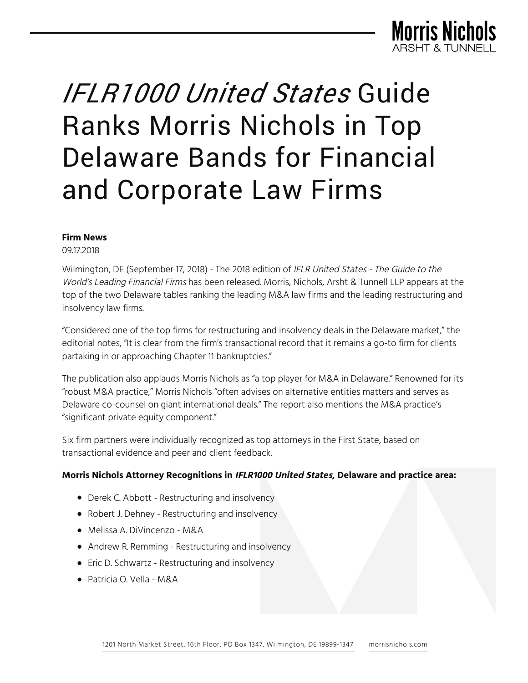

# *IFLR1000 United States* Guide Ranks Morris Nichols in Top Delaware Bands for Financial and Corporate Law Firms

#### **Firm News**

09.17.2018

Wilmington, DE (September 17, 2018) - The 2018 edition of IFLR United States - The Guide to the World's Leading Financial Firms has been released. Morris, Nichols, Arsht & Tunnell LLP appears at the top of the two Delaware tables ranking the leading M&A law firms and the leading restructuring and insolvency law firms.

"Considered one of the top firms for restructuring and insolvency deals in the Delaware market," the editorial notes, "It is clear from the firm's transactional record that it remains a go-to firm for clients partaking in or approaching Chapter 11 bankruptcies."

The publication also applauds Morris Nichols as "a top player for M&A in Delaware." Renowned for its "robust M&A practice," Morris Nichols "often advises on alternative entities matters and serves as Delaware co-counsel on giant international deals." The report also mentions the M&A practice's "significant private equity component."

Six firm partners were individually recognized as top attorneys in the First State, based on transactional evidence and peer and client feedback.

#### **Morris Nichols Attorney Recognitions in IFLR1000 United States, Delaware and practice area:**

- Derek C. Abbott Restructuring and insolvency
- Robert J. Dehney Restructuring and insolvency
- Melissa A. DiVincenzo M&A
- Andrew R. Remming Restructuring and insolvency
- Eric D. Schwartz Restructuring and insolvency
- Patricia O. Vella M&A